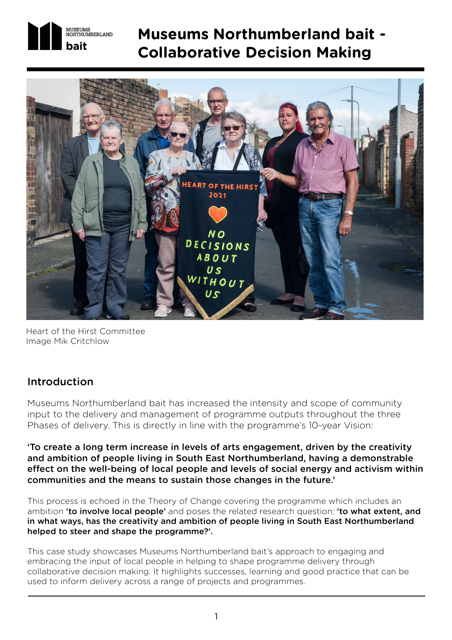

# **Museums Northumberland bait - Collaborative Decision Making**



Heart of the Hirst Committee Image Mik Critchlow

# Introduction

Museums Northumberland bait has increased the intensity and scope of community input to the delivery and management of programme outputs throughout the three Phases of delivery. This is directly in line with the programme's 10-year Vision:

'To create a long term increase in levels of arts engagement, driven by the creativity and ambition of people living in South East Northumberland, having a demonstrable effect on the well-being of local people and levels of social energy and activism within communities and the means to sustain those changes in the future.'

This process is echoed in the Theory of Change covering the programme which includes an ambition 'to involve local people' and poses the related research question: 'to what extent, and in what ways, has the creativity and ambition of people living in South East Northumberland helped to steer and shape the programme?'.

This case study showcases Museums Northumberland bait's approach to engaging and embracing the input of local people in helping to shape programme delivery through collaborative decision making. It highlights successes, learning and good practice that can be used to inform delivery across a range of projects and programmes.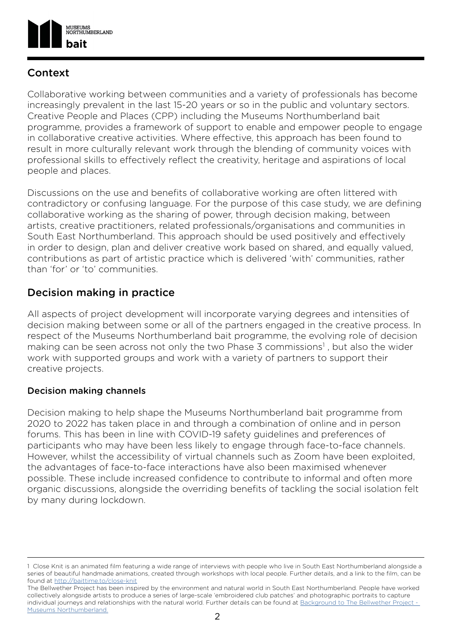

# **Context**

Collaborative working between communities and a variety of professionals has become increasingly prevalent in the last 15-20 years or so in the public and voluntary sectors. Creative People and Places (CPP) including the Museums Northumberland bait programme, provides a framework of support to enable and empower people to engage in collaborative creative activities. Where effective, this approach has been found to result in more culturally relevant work through the blending of community voices with professional skills to effectively reflect the creativity, heritage and aspirations of local people and places.

Discussions on the use and benefits of collaborative working are often littered with contradictory or confusing language. For the purpose of this case study, we are defining collaborative working as the sharing of power, through decision making, between artists, creative practitioners, related professionals/organisations and communities in South East Northumberland. This approach should be used positively and effectively in order to design, plan and deliver creative work based on shared, and equally valued, contributions as part of artistic practice which is delivered 'with' communities, rather than 'for' or 'to' communities.

# Decision making in practice

All aspects of project development will incorporate varying degrees and intensities of decision making between some or all of the partners engaged in the creative process. In respect of the Museums Northumberland bait programme, the evolving role of decision making can be seen across not only the two Phase 3 commissions<sup>1</sup>, but also the wider work with supported groups and work with a variety of partners to support their creative projects.

#### Decision making channels

Decision making to help shape the Museums Northumberland bait programme from 2020 to 2022 has taken place in and through a combination of online and in person forums. This has been in line with COVID-19 safety guidelines and preferences of participants who may have been less likely to engage through face-to-face channels. However, whilst the accessibility of virtual channels such as Zoom have been exploited, the advantages of face-to-face interactions have also been maximised whenever possible. These include increased confidence to contribute to informal and often more organic discussions, alongside the overriding benefits of tackling the social isolation felt by many during lockdown.

<sup>1</sup> Close Knit is an animated film featuring a wide range of interviews with people who live in South East Northumberland alongside a series of beautiful handmade animations, created through workshops with local people. Further details, and a link to the film, can be found at [http://baittime.to/close-knit](http://baittime.to/close-knit )

The Bellwether Project has been inspired by the environment and natural world in South East Northumberland. People have worked collectively alongside artists to produce a series of large-scale 'embroidered club patches' and photographic portraits to capture individual journeys and relationships with the natural world. Further details can be found at [Background to The Bellwether Project -](https://museumsnorthumberland.org.uk/project/bait/the-bellwether-project/)  [Museums Northumberland.](https://museumsnorthumberland.org.uk/project/bait/the-bellwether-project/)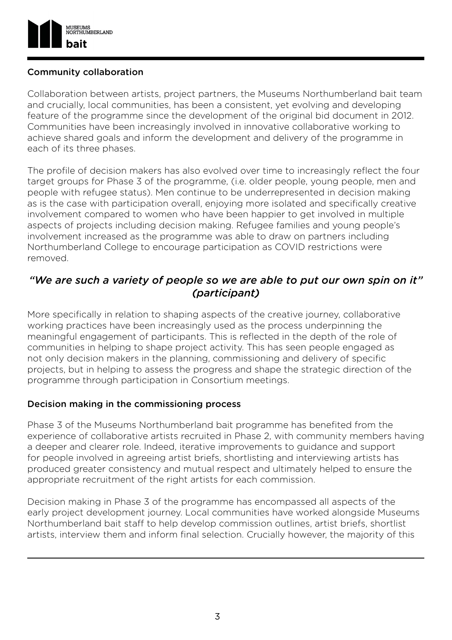

#### Community collaboration

Collaboration between artists, project partners, the Museums Northumberland bait team and crucially, local communities, has been a consistent, yet evolving and developing feature of the programme since the development of the original bid document in 2012. Communities have been increasingly involved in innovative collaborative working to achieve shared goals and inform the development and delivery of the programme in each of its three phases.

The profile of decision makers has also evolved over time to increasingly reflect the four target groups for Phase 3 of the programme, (i.e. older people, young people, men and people with refugee status). Men continue to be underrepresented in decision making as is the case with participation overall, enjoying more isolated and specifically creative involvement compared to women who have been happier to get involved in multiple aspects of projects including decision making. Refugee families and young people's involvement increased as the programme was able to draw on partners including Northumberland College to encourage participation as COVID restrictions were removed.

# *"We are such a variety of people so we are able to put our own spin on it" (participant)*

More specifically in relation to shaping aspects of the creative journey, collaborative working practices have been increasingly used as the process underpinning the meaningful engagement of participants. This is reflected in the depth of the role of communities in helping to shape project activity. This has seen people engaged as not only decision makers in the planning, commissioning and delivery of specific projects, but in helping to assess the progress and shape the strategic direction of the programme through participation in Consortium meetings.

#### Decision making in the commissioning process

Phase 3 of the Museums Northumberland bait programme has benefited from the experience of collaborative artists recruited in Phase 2, with community members having a deeper and clearer role. Indeed, iterative improvements to guidance and support for people involved in agreeing artist briefs, shortlisting and interviewing artists has produced greater consistency and mutual respect and ultimately helped to ensure the appropriate recruitment of the right artists for each commission.

Decision making in Phase 3 of the programme has encompassed all aspects of the early project development journey. Local communities have worked alongside Museums Northumberland bait staff to help develop commission outlines, artist briefs, shortlist artists, interview them and inform final selection. Crucially however, the majority of this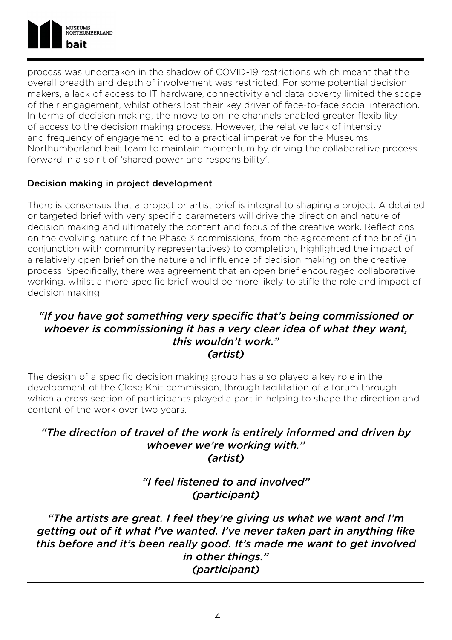

process was undertaken in the shadow of COVID-19 restrictions which meant that the overall breadth and depth of involvement was restricted. For some potential decision makers, a lack of access to IT hardware, connectivity and data poverty limited the scope of their engagement, whilst others lost their key driver of face-to-face social interaction. In terms of decision making, the move to online channels enabled greater flexibility of access to the decision making process. However, the relative lack of intensity and frequency of engagement led to a practical imperative for the Museums Northumberland bait team to maintain momentum by driving the collaborative process forward in a spirit of 'shared power and responsibility'.

#### Decision making in project development

There is consensus that a project or artist brief is integral to shaping a project. A detailed or targeted brief with very specific parameters will drive the direction and nature of decision making and ultimately the content and focus of the creative work. Reflections on the evolving nature of the Phase 3 commissions, from the agreement of the brief (in conjunction with community representatives) to completion, highlighted the impact of a relatively open brief on the nature and influence of decision making on the creative process. Specifically, there was agreement that an open brief encouraged collaborative working, whilst a more specific brief would be more likely to stifle the role and impact of decision making.

#### *"If you have got something very specific that's being commissioned or whoever is commissioning it has a very clear idea of what they want, this wouldn't work." (artist)*

The design of a specific decision making group has also played a key role in the development of the Close Knit commission, through facilitation of a forum through which a cross section of participants played a part in helping to shape the direction and content of the work over two years.

#### *"The direction of travel of the work is entirely informed and driven by whoever we're working with." (artist)*

*"I feel listened to and involved" (participant)*

*"The artists are great. I feel they're giving us what we want and I'm getting out of it what I've wanted. I've never taken part in anything like this before and it's been really good. It's made me want to get involved in other things." (participant)*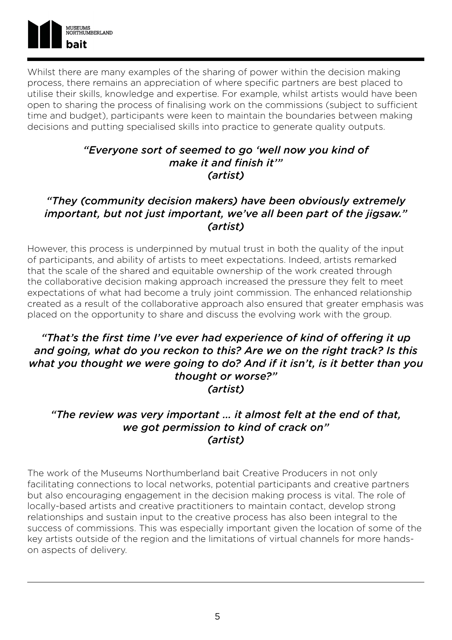

Whilst there are many examples of the sharing of power within the decision making process, there remains an appreciation of where specific partners are best placed to utilise their skills, knowledge and expertise. For example, whilst artists would have been open to sharing the process of finalising work on the commissions (subject to sufficient time and budget), participants were keen to maintain the boundaries between making decisions and putting specialised skills into practice to generate quality outputs.

#### *"Everyone sort of seemed to go 'well now you kind of make it and finish it'" (artist)*

### *"They (community decision makers) have been obviously extremely important, but not just important, we've all been part of the jigsaw." (artist)*

However, this process is underpinned by mutual trust in both the quality of the input of participants, and ability of artists to meet expectations. Indeed, artists remarked that the scale of the shared and equitable ownership of the work created through the collaborative decision making approach increased the pressure they felt to meet expectations of what had become a truly joint commission. The enhanced relationship created as a result of the collaborative approach also ensured that greater emphasis was placed on the opportunity to share and discuss the evolving work with the group.

#### *"That's the first time I've ever had experience of kind of offering it up and going, what do you reckon to this? Are we on the right track? Is this what you thought we were going to do? And if it isn't, is it better than you thought or worse?" (artist)*

### *"The review was very important … it almost felt at the end of that, we got permission to kind of crack on" (artist)*

The work of the Museums Northumberland bait Creative Producers in not only facilitating connections to local networks, potential participants and creative partners but also encouraging engagement in the decision making process is vital. The role of locally-based artists and creative practitioners to maintain contact, develop strong relationships and sustain input to the creative process has also been integral to the success of commissions. This was especially important given the location of some of the key artists outside of the region and the limitations of virtual channels for more handson aspects of delivery.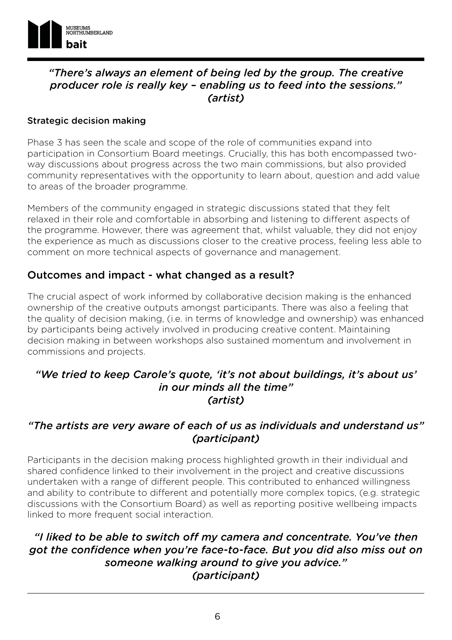

# *"There's always an element of being led by the group. The creative producer role is really key – enabling us to feed into the sessions." (artist)*

#### Strategic decision making

Phase 3 has seen the scale and scope of the role of communities expand into participation in Consortium Board meetings. Crucially, this has both encompassed twoway discussions about progress across the two main commissions, but also provided community representatives with the opportunity to learn about, question and add value to areas of the broader programme.

Members of the community engaged in strategic discussions stated that they felt relaxed in their role and comfortable in absorbing and listening to different aspects of the programme. However, there was agreement that, whilst valuable, they did not enjoy the experience as much as discussions closer to the creative process, feeling less able to comment on more technical aspects of governance and management.

#### Outcomes and impact - what changed as a result?

The crucial aspect of work informed by collaborative decision making is the enhanced ownership of the creative outputs amongst participants. There was also a feeling that the quality of decision making, (i.e. in terms of knowledge and ownership) was enhanced by participants being actively involved in producing creative content. Maintaining decision making in between workshops also sustained momentum and involvement in commissions and projects.

#### *"We tried to keep Carole's quote, 'it's not about buildings, it's about us' in our minds all the time" (artist)*

#### *"The artists are very aware of each of us as individuals and understand us" (participant)*

Participants in the decision making process highlighted growth in their individual and shared confidence linked to their involvement in the project and creative discussions undertaken with a range of different people. This contributed to enhanced willingness and ability to contribute to different and potentially more complex topics, (e.g. strategic discussions with the Consortium Board) as well as reporting positive wellbeing impacts linked to more frequent social interaction.

# *"I liked to be able to switch off my camera and concentrate. You've then got the confidence when you're face-to-face. But you did also miss out on someone walking around to give you advice." (participant)*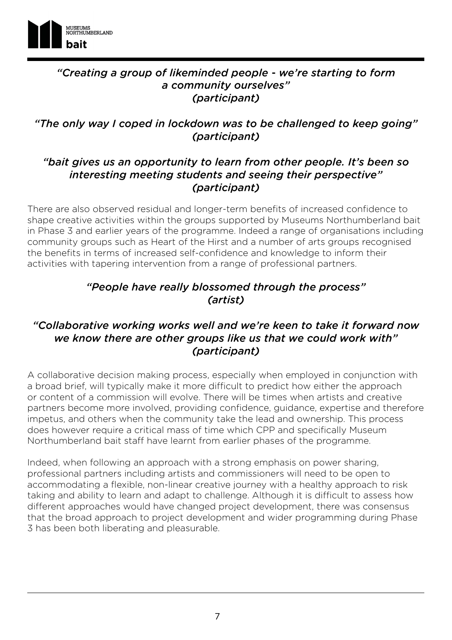

# *"Creating a group of likeminded people - we're starting to form a community ourselves" (participant)*

# *"The only way I coped in lockdown was to be challenged to keep going" (participant)*

### *"bait gives us an opportunity to learn from other people. It's been so interesting meeting students and seeing their perspective" (participant)*

There are also observed residual and longer-term benefits of increased confidence to shape creative activities within the groups supported by Museums Northumberland bait in Phase 3 and earlier years of the programme. Indeed a range of organisations including community groups such as Heart of the Hirst and a number of arts groups recognised the benefits in terms of increased self-confidence and knowledge to inform their activities with tapering intervention from a range of professional partners.

# *"People have really blossomed through the process" (artist)*

# *"Collaborative working works well and we're keen to take it forward now we know there are other groups like us that we could work with" (participant)*

A collaborative decision making process, especially when employed in conjunction with a broad brief, will typically make it more difficult to predict how either the approach or content of a commission will evolve. There will be times when artists and creative partners become more involved, providing confidence, guidance, expertise and therefore impetus, and others when the community take the lead and ownership. This process does however require a critical mass of time which CPP and specifically Museum Northumberland bait staff have learnt from earlier phases of the programme.

Indeed, when following an approach with a strong emphasis on power sharing, professional partners including artists and commissioners will need to be open to accommodating a flexible, non-linear creative journey with a healthy approach to risk taking and ability to learn and adapt to challenge. Although it is difficult to assess how different approaches would have changed project development, there was consensus that the broad approach to project development and wider programming during Phase 3 has been both liberating and pleasurable.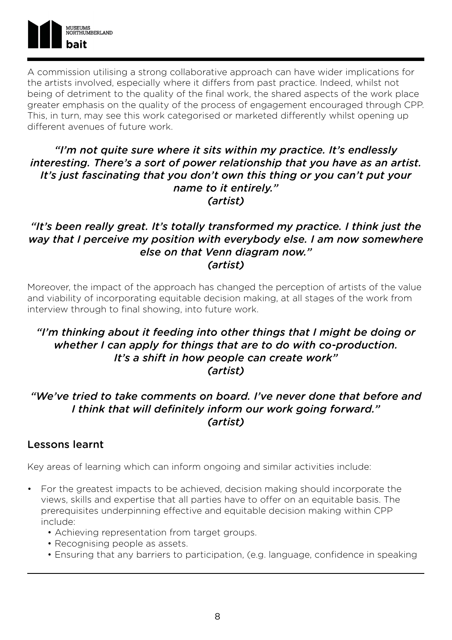

A commission utilising a strong collaborative approach can have wider implications for the artists involved, especially where it differs from past practice. Indeed, whilst not being of detriment to the quality of the final work, the shared aspects of the work place greater emphasis on the quality of the process of engagement encouraged through CPP. This, in turn, may see this work categorised or marketed differently whilst opening up different avenues of future work.

#### *"I'm not quite sure where it sits within my practice. It's endlessly interesting. There's a sort of power relationship that you have as an artist. It's just fascinating that you don't own this thing or you can't put your name to it entirely." (artist)*

#### *"It's been really great. It's totally transformed my practice. I think just the way that I perceive my position with everybody else. I am now somewhere else on that Venn diagram now." (artist)*

Moreover, the impact of the approach has changed the perception of artists of the value and viability of incorporating equitable decision making, at all stages of the work from interview through to final showing, into future work.

#### *"I'm thinking about it feeding into other things that I might be doing or whether I can apply for things that are to do with co-production. It's a shift in how people can create work" (artist)*

# *"We've tried to take comments on board. I've never done that before and I think that will definitely inform our work going forward." (artist)*

#### Lessons learnt

Key areas of learning which can inform ongoing and similar activities include:

- For the greatest impacts to be achieved, decision making should incorporate the views, skills and expertise that all parties have to offer on an equitable basis. The prerequisites underpinning effective and equitable decision making within CPP include:
	- Achieving representation from target groups.
	- Recognising people as assets.
	- Ensuring that any barriers to participation, (e.g. language, confidence in speaking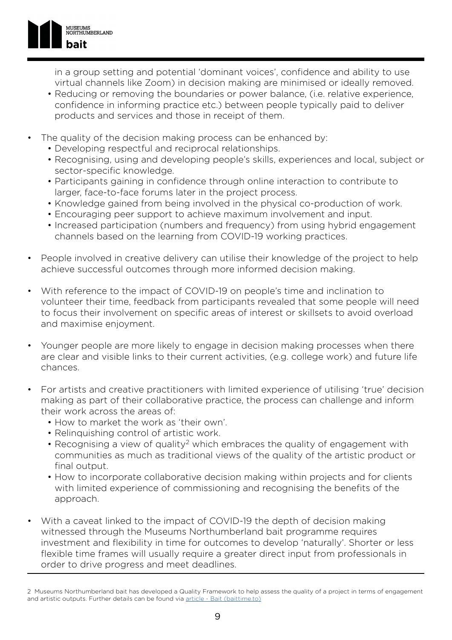

in a group setting and potential 'dominant voices', confidence and ability to use virtual channels like Zoom) in decision making are minimised or ideally removed.

- Reducing or removing the boundaries or power balance, (i.e. relative experience, confidence in informing practice etc.) between people typically paid to deliver products and services and those in receipt of them.
- The quality of the decision making process can be enhanced by:
	- Developing respectful and reciprocal relationships.
	- Recognising, using and developing people's skills, experiences and local, subject or sector-specific knowledge.
	- Participants gaining in confidence through online interaction to contribute to larger, face-to-face forums later in the project process.
	- Knowledge gained from being involved in the physical co-production of work.
	- Encouraging peer support to achieve maximum involvement and input.
	- Increased participation (numbers and frequency) from using hybrid engagement channels based on the learning from COVID-19 working practices.
- People involved in creative delivery can utilise their knowledge of the project to help achieve successful outcomes through more informed decision making.
- With reference to the impact of COVID-19 on people's time and inclination to volunteer their time, feedback from participants revealed that some people will need to focus their involvement on specific areas of interest or skillsets to avoid overload and maximise enjoyment.
- Younger people are more likely to engage in decision making processes when there are clear and visible links to their current activities, (e.g. college work) and future life chances.
- For artists and creative practitioners with limited experience of utilising 'true' decision making as part of their collaborative practice, the process can challenge and inform their work across the areas of:
	- How to market the work as 'their own'.
	- Relinquishing control of artistic work.
	- Recognising a view of quality<sup>2</sup> which embraces the quality of engagement with communities as much as traditional views of the quality of the artistic product or final output.
	- How to incorporate collaborative decision making within projects and for clients with limited experience of commissioning and recognising the benefits of the approach.
- With a caveat linked to the impact of COVID-19 the depth of decision making witnessed through the Museums Northumberland bait programme requires investment and flexibility in time for outcomes to develop 'naturally'. Shorter or less flexible time frames will usually require a greater direct input from professionals in order to drive progress and meet deadlines.

<sup>2</sup> Museums Northumberland bait has developed a Quality Framework to help assess the quality of a project in terms of engagement and artistic outputs. Further details can be found via [article - Bait \(baittime.to\)](http://www.baittime.to/content-article?articleid=179)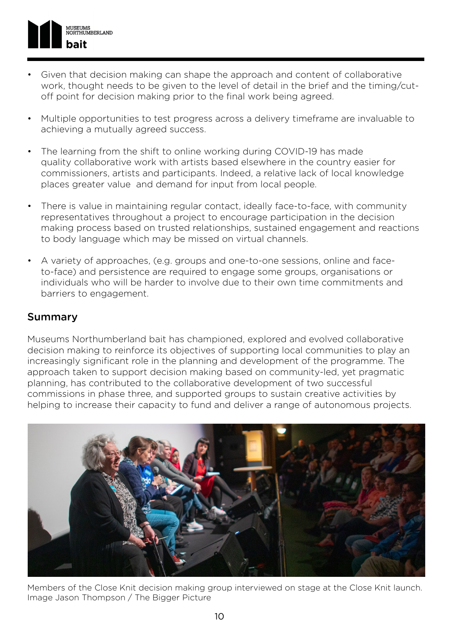

- Given that decision making can shape the approach and content of collaborative work, thought needs to be given to the level of detail in the brief and the timing/cutoff point for decision making prior to the final work being agreed.
- Multiple opportunities to test progress across a delivery timeframe are invaluable to achieving a mutually agreed success.
- The learning from the shift to online working during COVID-19 has made quality collaborative work with artists based elsewhere in the country easier for commissioners, artists and participants. Indeed, a relative lack of local knowledge places greater value and demand for input from local people.
- There is value in maintaining regular contact, ideally face-to-face, with community representatives throughout a project to encourage participation in the decision making process based on trusted relationships, sustained engagement and reactions to body language which may be missed on virtual channels.
- A variety of approaches, (e.g. groups and one-to-one sessions, online and faceto-face) and persistence are required to engage some groups, organisations or individuals who will be harder to involve due to their own time commitments and barriers to engagement.

### Summary

Museums Northumberland bait has championed, explored and evolved collaborative decision making to reinforce its objectives of supporting local communities to play an increasingly significant role in the planning and development of the programme. The approach taken to support decision making based on community-led, yet pragmatic planning, has contributed to the collaborative development of two successful commissions in phase three, and supported groups to sustain creative activities by helping to increase their capacity to fund and deliver a range of autonomous projects.



Members of the Close Knit decision making group interviewed on stage at the Close Knit launch. Image Jason Thompson / The Bigger Picture